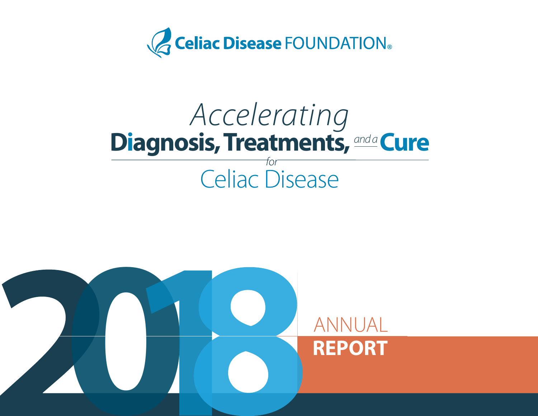

# Accelerating **Diagnosis, Treatments, and a Cure** Celiac Disease

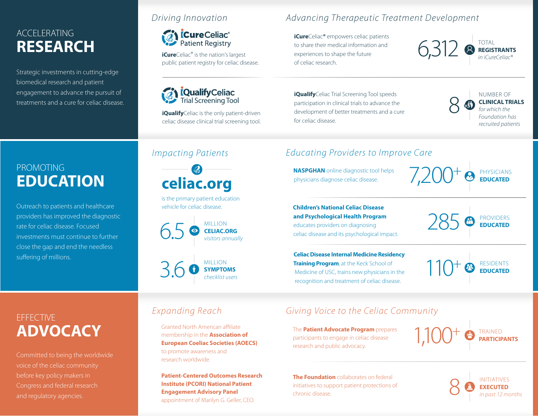## ACCELERATING **RESEARCH**

Strategic investments in cutting-edge biomedical research and patient engagement to advance the pursuit of treatments and a cure for celiac disease.

#### Driving Innovation

# **CureCeliac**®

**iCure**Celiac<sup>®</sup> is the nation's largest public patient registry for celiac disease.



**iQualify**Celiac is the only patient-driven celiac disease clinical trial screening tool. Advancing Therapeutic Treatment Development

**iCure**Celiac**®** empowers celiac patients to share their medical information and experiences to shape the future of celiac research.



**iQualify**Celiac Trial Screening Tool speeds participation in clinical trials to advance the development of better treatments and a cure for celiac disease.



## PROMOTING **EDUCATION**

Outreach to patients and healthcare providers has improved the diagnostic rate for celiac disease. Focused investments must continue to further close the gap and end the needless suffering of millions.

## Impacting Patients

**celiac.org**

is the primary patient education vehicle for celiac disease.





## Educating Providers to Improve Care

**NASPGHAN** online diagnostic tool helps physicians diagnose celiac disease.

PHYSICIANS **EDUCATED**

 **Children's National Celiac Disease and Psychological Health Program** educates providers on diagnosing celiac disease and its psychological impact.

 **Celiac Disease Internal Medicine Residency Training Program**, at the Keck School of Medicine of USC, trains new physicians in the recognition and treatment of celiac disease.

285 **PROVIDERS** 

110<sup>+</sup> <sup>RESIDENTS</sup> +

## **EFFECTIVE ADVOCACY**

Committed to being the worldwide before key policy makers in Congress and federal research and regulatory agencies.

## Expanding Reach

Granted North American affiliate membership in the **Association of European Coeliac Societies (AOECS)**  to promote awareness and research worldwide.

**Patient-Centered Outcomes Research Institute (PCORI) National Patient Engagement Advisory Panel**  appointment of Marilyn G. Geller, CEO.

## Giving Voice to the Celiac Community

The **Patient Advocate Program** prepares participants to engage in celiac disease research and public advocacy.

TRAINED 1,100 **PARTICIPANTS**  $+$ 

**The Foundation** collaborates on federal initiatives to support patient protections of chronic disease.